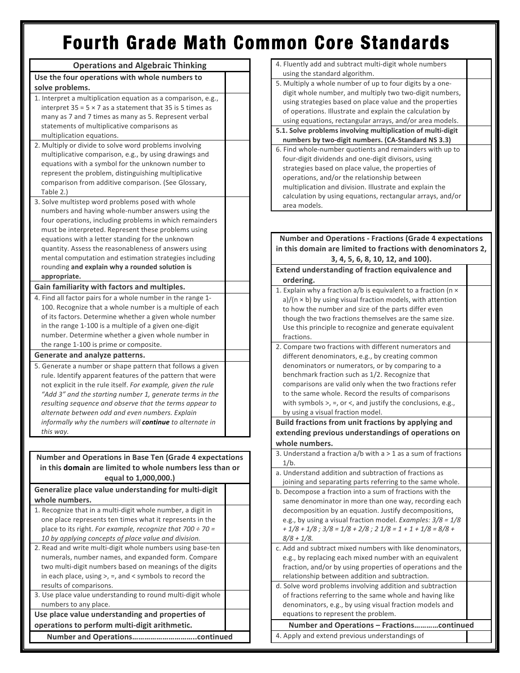## **Fourth Grade Math Common Core Standards**

| <b>Operations and Algebraic Thinking</b>                                                                            | 4. Fluently add and subtract multi-digit whole numbers                                                                |  |
|---------------------------------------------------------------------------------------------------------------------|-----------------------------------------------------------------------------------------------------------------------|--|
| Use the four operations with whole numbers to                                                                       | using the standard algorithm.                                                                                         |  |
| solve problems.                                                                                                     | 5. Multiply a whole number of up to four digits by a one-                                                             |  |
| 1. Interpret a multiplication equation as a comparison, e.g.,                                                       | digit whole number, and multiply two two-digit numbers,                                                               |  |
| interpret $35 = 5 \times 7$ as a statement that 35 is 5 times as                                                    | using strategies based on place value and the properties                                                              |  |
| many as 7 and 7 times as many as 5. Represent verbal                                                                | of operations. Illustrate and explain the calculation by                                                              |  |
| statements of multiplicative comparisons as                                                                         | using equations, rectangular arrays, and/or area models.                                                              |  |
| multiplication equations.                                                                                           | 5.1. Solve problems involving multiplication of multi-digit                                                           |  |
| 2. Multiply or divide to solve word problems involving                                                              | numbers by two-digit numbers. (CA-Standard NS 3.3)                                                                    |  |
| multiplicative comparison, e.g., by using drawings and                                                              | 6. Find whole-number quotients and remainders with up to                                                              |  |
| equations with a symbol for the unknown number to                                                                   | four-digit dividends and one-digit divisors, using                                                                    |  |
| represent the problem, distinguishing multiplicative                                                                | strategies based on place value, the properties of                                                                    |  |
| comparison from additive comparison. (See Glossary,                                                                 | operations, and/or the relationship between                                                                           |  |
| Table 2.)                                                                                                           | multiplication and division. Illustrate and explain the<br>calculation by using equations, rectangular arrays, and/or |  |
| 3. Solve multistep word problems posed with whole                                                                   | area models.                                                                                                          |  |
| numbers and having whole-number answers using the                                                                   |                                                                                                                       |  |
| four operations, including problems in which remainders                                                             |                                                                                                                       |  |
| must be interpreted. Represent these problems using                                                                 |                                                                                                                       |  |
| equations with a letter standing for the unknown                                                                    | <b>Number and Operations - Fractions (Grade 4 expectations</b>                                                        |  |
| quantity. Assess the reasonableness of answers using                                                                | in this domain are limited to fractions with denominators 2,                                                          |  |
| mental computation and estimation strategies including                                                              | 3, 4, 5, 6, 8, 10, 12, and 100).                                                                                      |  |
| rounding and explain why a rounded solution is                                                                      | Extend understanding of fraction equivalence and                                                                      |  |
| appropriate.                                                                                                        | ordering.                                                                                                             |  |
| Gain familiarity with factors and multiples.                                                                        | 1. Explain why a fraction a/b is equivalent to a fraction (n x                                                        |  |
| 4. Find all factor pairs for a whole number in the range 1-                                                         | a)/( $n \times b$ ) by using visual fraction models, with attention                                                   |  |
| 100. Recognize that a whole number is a multiple of each                                                            | to how the number and size of the parts differ even                                                                   |  |
| of its factors. Determine whether a given whole number                                                              | though the two fractions themselves are the same size.                                                                |  |
| in the range 1-100 is a multiple of a given one-digit                                                               | Use this principle to recognize and generate equivalent                                                               |  |
| number. Determine whether a given whole number in                                                                   | fractions.                                                                                                            |  |
| the range 1-100 is prime or composite.                                                                              | 2. Compare two fractions with different numerators and                                                                |  |
| Generate and analyze patterns.                                                                                      | different denominators, e.g., by creating common                                                                      |  |
| 5. Generate a number or shape pattern that follows a given                                                          | denominators or numerators, or by comparing to a                                                                      |  |
| rule. Identify apparent features of the pattern that were                                                           | benchmark fraction such as 1/2. Recognize that                                                                        |  |
| not explicit in the rule itself. For example, given the rule                                                        | comparisons are valid only when the two fractions refer<br>to the same whole. Record the results of comparisons       |  |
| "Add 3" and the starting number 1, generate terms in the<br>resulting sequence and observe that the terms appear to | with symbols $>$ , =, or <, and justify the conclusions, e.g.,                                                        |  |
| alternate between odd and even numbers. Explain                                                                     | by using a visual fraction model.                                                                                     |  |
| informally why the numbers will continue to alternate in                                                            | Build fractions from unit fractions by applying and                                                                   |  |
| this way.                                                                                                           | extending previous understandings of operations on                                                                    |  |
|                                                                                                                     | whole numbers.                                                                                                        |  |
|                                                                                                                     | 3. Understand a fraction $a/b$ with $a > 1$ as a sum of fractions                                                     |  |
| <b>Number and Operations in Base Ten (Grade 4 expectations</b>                                                      | $1/b$ .                                                                                                               |  |
| in this domain are limited to whole numbers less than or                                                            | a. Understand addition and subtraction of fractions as                                                                |  |
| equal to 1,000,000.)                                                                                                | joining and separating parts referring to the same whole.                                                             |  |
| Generalize place value understanding for multi-digit                                                                | b. Decompose a fraction into a sum of fractions with the                                                              |  |
| whole numbers.                                                                                                      | same denominator in more than one way, recording each                                                                 |  |
| 1. Recognize that in a multi-digit whole number, a digit in                                                         | decomposition by an equation. Justify decompositions,                                                                 |  |
| one place represents ten times what it represents in the                                                            | e.g., by using a visual fraction model. Examples: $3/8 = 1/8$                                                         |  |
| place to its right. For example, recognize that $700 \div 70 =$                                                     | + $1/8$ + $1/8$ ; $3/8$ = $1/8$ + $2/8$ ; $2$ $1/8$ = $1$ + $1$ + $1/8$ = $8/8$ +                                     |  |
| 10 by applying concepts of place value and division.                                                                | $8/8 + 1/8$ .                                                                                                         |  |
| 2. Read and write multi-digit whole numbers using base-ten                                                          | c. Add and subtract mixed numbers with like denominators,                                                             |  |
| numerals, number names, and expanded form. Compare                                                                  | e.g., by replacing each mixed number with an equivalent                                                               |  |
| two multi-digit numbers based on meanings of the digits                                                             | fraction, and/or by using properties of operations and the                                                            |  |
| in each place, using $>$ , =, and < symbols to record the                                                           | relationship between addition and subtraction.                                                                        |  |
| results of comparisons.                                                                                             | d. Solve word problems involving addition and subtraction                                                             |  |
| 3. Use place value understanding to round multi-digit whole                                                         | of fractions referring to the same whole and having like                                                              |  |
| numbers to any place.                                                                                               | denominators, e.g., by using visual fraction models and                                                               |  |
| Use place value understanding and properties of                                                                     | equations to represent the problem.                                                                                   |  |
| operations to perform multi-digit arithmetic.                                                                       | Number and Operations - Fractionscontinued                                                                            |  |
|                                                                                                                     | 4. Apply and extend previous understandings of                                                                        |  |
|                                                                                                                     |                                                                                                                       |  |